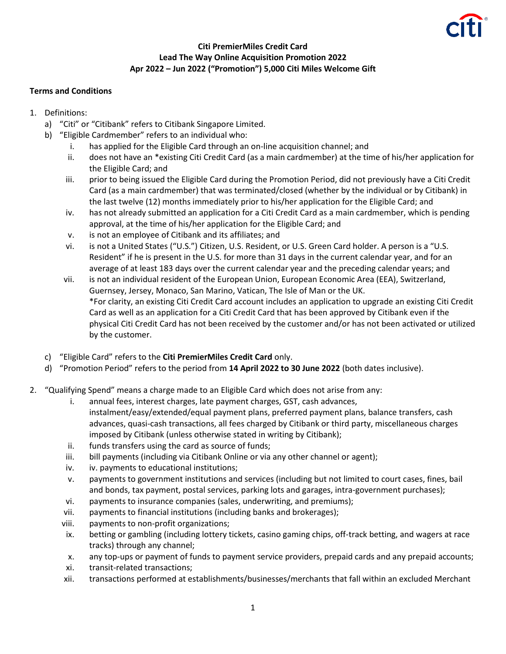

## **Citi PremierMiles Credit Card Lead The Way Online Acquisition Promotion 2022 Apr 2022 – Jun 2022 ("Promotion") 5,000 Citi Miles Welcome Gift**

## **Terms and Conditions**

- 1. Definitions:
	- a) "Citi" or "Citibank" refers to Citibank Singapore Limited.
	- b) "Eligible Cardmember" refers to an individual who:
		- i. has applied for the Eligible Card through an on-line acquisition channel; and
		- ii. does not have an \*existing Citi Credit Card (as a main cardmember) at the time of his/her application for the Eligible Card; and
		- iii. prior to being issued the Eligible Card during the Promotion Period, did not previously have a Citi Credit Card (as a main cardmember) that was terminated/closed (whether by the individual or by Citibank) in the last twelve (12) months immediately prior to his/her application for the Eligible Card; and
		- iv. has not already submitted an application for a Citi Credit Card as a main cardmember, which is pending approval, at the time of his/her application for the Eligible Card; and
		- v. is not an employee of Citibank and its affiliates; and
		- vi. is not a United States ("U.S.") Citizen, U.S. Resident, or U.S. Green Card holder. A person is a "U.S. Resident" if he is present in the U.S. for more than 31 days in the current calendar year, and for an average of at least 183 days over the current calendar year and the preceding calendar years; and
		- vii. is not an individual resident of the European Union, European Economic Area (EEA), Switzerland, Guernsey, Jersey, Monaco, San Marino, Vatican, The Isle of Man or the UK. \*For clarity, an existing Citi Credit Card account includes an application to upgrade an existing Citi Credit Card as well as an application for a Citi Credit Card that has been approved by Citibank even if the physical Citi Credit Card has not been received by the customer and/or has not been activated or utilized by the customer.
	- c) "Eligible Card" refers to the **Citi PremierMiles Credit Card** only.
	- d) "Promotion Period" refers to the period from **14 April 2022 to 30 June 2022** (both dates inclusive).
- 2. "Qualifying Spend" means a charge made to an Eligible Card which does not arise from any:
	- i. annual fees, interest charges, late payment charges, GST, cash advances, instalment/easy/extended/equal payment plans, preferred payment plans, balance transfers, cash advances, quasi-cash transactions, all fees charged by Citibank or third party, miscellaneous charges imposed by Citibank (unless otherwise stated in writing by Citibank);
	- ii. funds transfers using the card as source of funds;
	- iii. bill payments (including via Citibank Online or via any other channel or agent);
	- iv. iv. payments to educational institutions;
	- v. payments to government institutions and services (including but not limited to court cases, fines, bail and bonds, tax payment, postal services, parking lots and garages, intra-government purchases);
	- vi. payments to insurance companies (sales, underwriting, and premiums);
	- vii. payments to financial institutions (including banks and brokerages);
	- viii. payments to non-profit organizations;
	- ix. betting or gambling (including lottery tickets, casino gaming chips, off-track betting, and wagers at race tracks) through any channel;
	- x. any top-ups or payment of funds to payment service providers, prepaid cards and any prepaid accounts;
	- xi. transit-related transactions;
	- xii. transactions performed at establishments/businesses/merchants that fall within an excluded Merchant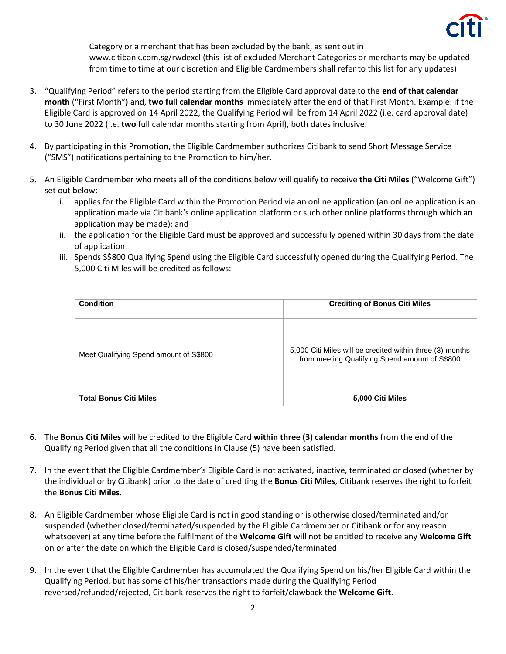

Category or a merchant that has been excluded by the bank, as sent out in www.citibank.com.sg/rwdexcl (this list of excluded Merchant Categories or merchants may be updated from time to time at our discretion and Eligible Cardmembers shall refer to this list for any updates)

- 3. "Qualifying Period" refers to the period starting from the Eligible Card approval date to the **end of that calendar month** ("First Month") and, **two full calendar months** immediately after the end of that First Month. Example: if the Eligible Card is approved on 14 April 2022, the Qualifying Period will be from 14 April 2022 (i.e. card approval date) to 30 June 2022 (i.e. **two** full calendar months starting from April), both dates inclusive.
- 4. By participating in this Promotion, the Eligible Cardmember authorizes Citibank to send Short Message Service ("SMS") notifications pertaining to the Promotion to him/her.
- 5. An Eligible Cardmember who meets all of the conditions below will qualify to receive **the Citi Miles** ("Welcome Gift") set out below:
	- i. applies for the Eligible Card within the Promotion Period via an online application (an online application is an application made via Citibank's online application platform or such other online platforms through which an application may be made); and
	- ii. the application for the Eligible Card must be approved and successfully opened within 30 days from the date of application.
	- iii. Spends S\$800 Qualifying Spend using the Eligible Card successfully opened during the Qualifying Period. The 5,000 Citi Miles will be credited as follows:

| <b>Condition</b>                       | <b>Crediting of Bonus Citi Miles</b>                                                                        |
|----------------------------------------|-------------------------------------------------------------------------------------------------------------|
| Meet Qualifying Spend amount of S\$800 | 5,000 Citi Miles will be credited within three (3) months<br>from meeting Qualifying Spend amount of S\$800 |
| <b>Total Bonus Citi Miles</b>          | 5,000 Citi Miles                                                                                            |

- 6. The **Bonus Citi Miles** will be credited to the Eligible Card **within three (3) calendar months** from the end of the Qualifying Period given that all the conditions in Clause (5) have been satisfied.
- 7. In the event that the Eligible Cardmember's Eligible Card is not activated, inactive, terminated or closed (whether by the individual or by Citibank) prior to the date of crediting the **Bonus Citi Miles**, Citibank reserves the right to forfeit the **Bonus Citi Miles**.
- 8. An Eligible Cardmember whose Eligible Card is not in good standing or is otherwise closed/terminated and/or suspended (whether closed/terminated/suspended by the Eligible Cardmember or Citibank or for any reason whatsoever) at any time before the fulfilment of the **Welcome Gift** will not be entitled to receive any **Welcome Gift** on or after the date on which the Eligible Card is closed/suspended/terminated.
- 9. In the event that the Eligible Cardmember has accumulated the Qualifying Spend on his/her Eligible Card within the Qualifying Period, but has some of his/her transactions made during the Qualifying Period reversed/refunded/rejected, Citibank reserves the right to forfeit/clawback the **Welcome Gift**.